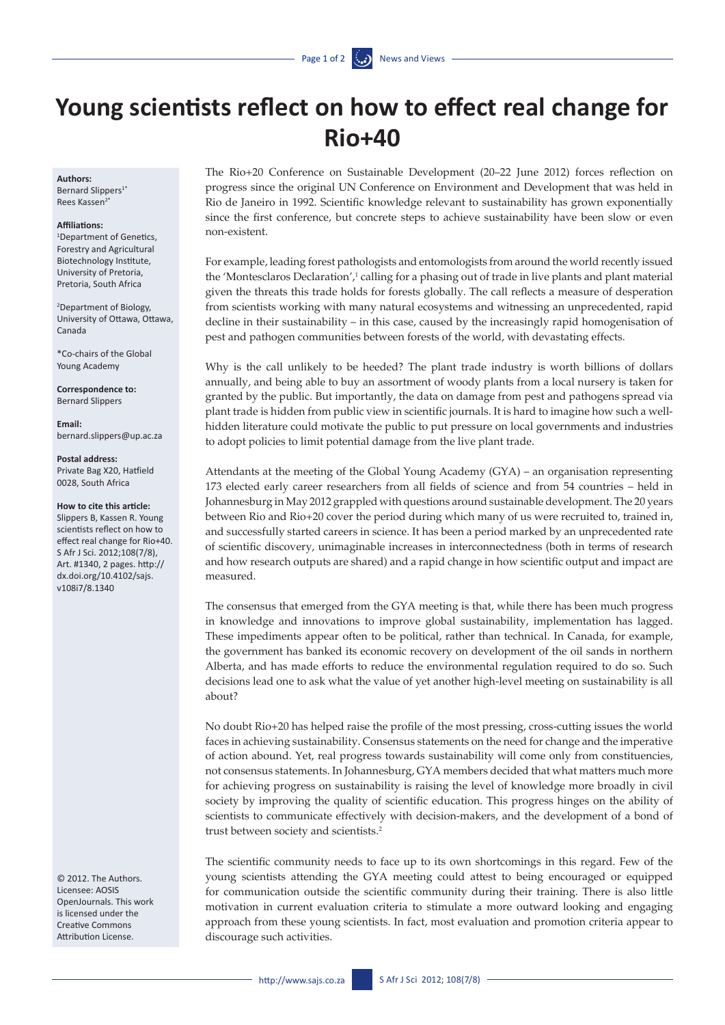# **Young scientists reflect on how to effect real change for Rio+40**

# **Authors:**

Bernard Slippers<sup>1</sup> Rees Kassen<sup>2</sup>

## **Affiliations:**

1 Department of Genetics, Forestry and Agricultural Biotechnology Institute, University of Pretoria, Pretoria, South Africa

2 Department of Biology, University of Ottawa, Ottawa, Canada

\*Co-chairs of the Global Young Academy

**Correspondence to:**  Bernard Slippers

**Email:**  [bernard.slippers@up.ac.za](mailto:bernard.slippers@up.ac.za)

#### **Postal address:**

Private Bag X20, Hatfield 0028, South Africa

### **How to cite this article:**

Slippers B, Kassen R. Young scientists reflect on how to effect real change for Rio+40. S Afr J Sci. 2012;108(7/8), Art. #1340, 2 pages. [http://](http://dx.doi.org/10.4102/sajs.v108i7/8.1340) [dx.doi.org/10.4102/sajs.](http://dx.doi.org/10.4102/sajs.v108i7/8.1340) [v108i7/8.1340](http://dx.doi.org/10.4102/sajs.v108i7/8.1340)

© 2012. The Authors. Licensee: AOSIS OpenJournals. This work is licensed under the Creative Commons Attribution License.

The Rio+20 Conference on Sustainable Development (20–22 June 2012) forces reflection on progress since the original UN Conference on Environment and Development that was held in Rio de Janeiro in 1992. Scientific knowledge relevant to sustainability has grown exponentially since the first conference, but concrete steps to achieve sustainability have been slow or even non-existent.

For example, leading forest pathologists and entomologists from around the world recently issued the 'Montesclaros Declaration',<sup>1</sup> calling for a phasing out of trade in live plants and plant material given the threats this trade holds for forests globally. The call reflects a measure of desperation from scientists working with many natural ecosystems and witnessing an unprecedented, rapid decline in their sustainability – in this case, caused by the increasingly rapid homogenisation of pest and pathogen communities between forests of the world, with devastating effects.

Why is the call unlikely to be heeded? The plant trade industry is worth billions of dollars annually, and being able to buy an assortment of woody plants from a local nursery is taken for granted by the public. But importantly, the data on damage from pest and pathogens spread via plant trade is hidden from public view in scientific journals. It is hard to imagine how such a wellhidden literature could motivate the public to put pressure on local governments and industries to adopt policies to limit potential damage from the live plant trade.

Attendants at the meeting of the Global Young Academy (GYA) – an organisation representing 173 elected early career researchers from all fields of science and from 54 countries – held in Johannesburg in May 2012 grappled with questions around sustainable development. The 20 years between Rio and Rio+20 cover the period during which many of us were recruited to, trained in, and successfully started careers in science. It has been a period marked by an unprecedented rate of scientific discovery, unimaginable increases in interconnectedness (both in terms of research and how research outputs are shared) and a rapid change in how scientific output and impact are measured.

The consensus that emerged from the GYA meeting is that, while there has been much progress in knowledge and innovations to improve global sustainability, implementation has lagged. These impediments appear often to be political, rather than technical. In Canada, for example, the government has banked its economic recovery on development of the oil sands in northern Alberta, and has made efforts to reduce the environmental regulation required to do so. Such decisions lead one to ask what the value of yet another high-level meeting on sustainability is all about?

No doubt Rio+20 has helped raise the profile of the most pressing, cross-cutting issues the world faces in achieving sustainability. Consensus statements on the need for change and the imperative of action abound. Yet, real progress towards sustainability will come only from constituencies, not consensus statements. In Johannesburg, GYA members decided that what matters much more for achieving progress on sustainability is raising the level of knowledge more broadly in civil society by improving the quality of scientific education. This progress hinges on the ability of scientists to communicate effectively with decision-makers, and the development of a bond of trust between society and scientists.2

The scientific community needs to face up to its own shortcomings in this regard. Few of the young scientists attending the GYA meeting could attest to being encouraged or equipped for communication outside the scientific community during their training. There is also little motivation in current evaluation criteria to stimulate a more outward looking and engaging approach from these young scientists. In fact, most evaluation and promotion criteria appear to discourage such activities.